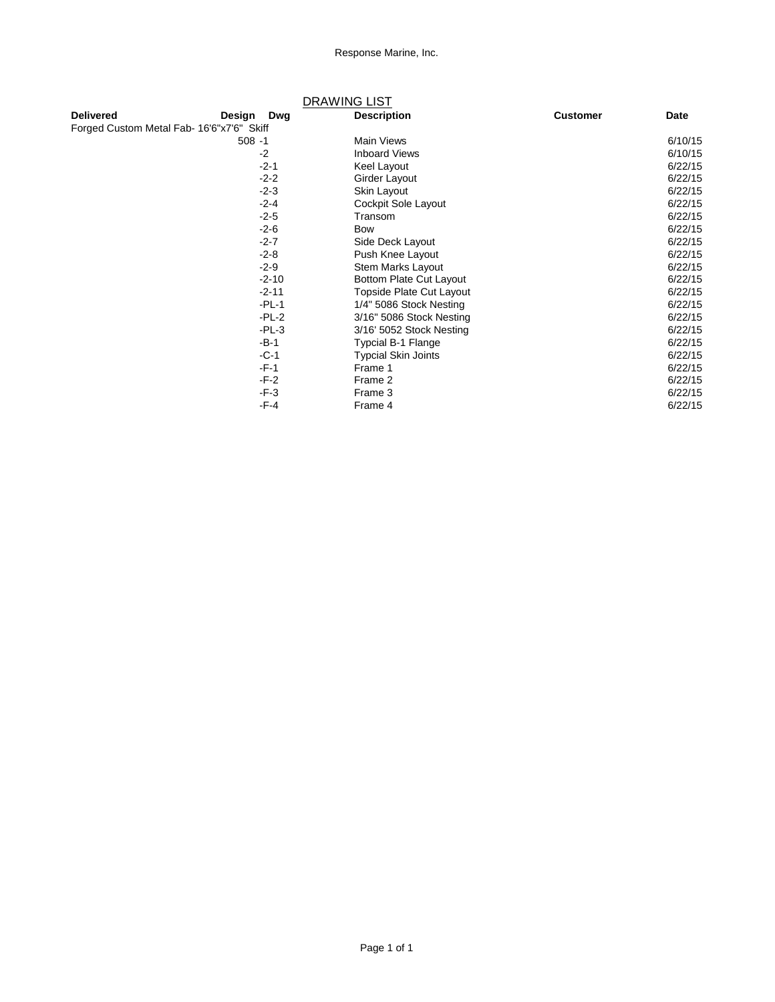|                                           |           |           | <b>DRAWING LIST</b>        |                 |             |
|-------------------------------------------|-----------|-----------|----------------------------|-----------------|-------------|
| <b>Delivered</b>                          | Design    | Dwg       | <b>Description</b>         | <b>Customer</b> | <b>Date</b> |
| Forged Custom Metal Fab- 16'6"x7'6" Skiff |           |           |                            |                 |             |
|                                           | $508 - 1$ |           | <b>Main Views</b>          |                 | 6/10/15     |
|                                           |           | $-2$      | <b>Inboard Views</b>       |                 | 6/10/15     |
|                                           |           | $-2 - 1$  | Keel Layout                |                 | 6/22/15     |
|                                           |           | $-2-2$    | Girder Layout              |                 | 6/22/15     |
|                                           |           | $-2-3$    | Skin Layout                |                 | 6/22/15     |
|                                           |           | $-2 - 4$  | Cockpit Sole Layout        |                 | 6/22/15     |
|                                           |           | $-2-5$    | Transom                    |                 | 6/22/15     |
|                                           |           | $-2-6$    | Bow                        |                 | 6/22/15     |
|                                           |           | $-2 - 7$  | Side Deck Layout           |                 | 6/22/15     |
|                                           |           | $-2-8$    | Push Knee Layout           |                 | 6/22/15     |
|                                           |           | $-2-9$    | Stem Marks Layout          |                 | 6/22/15     |
|                                           |           | $-2 - 10$ | Bottom Plate Cut Layout    |                 | 6/22/15     |
|                                           |           | $-2 - 11$ | Topside Plate Cut Layout   |                 | 6/22/15     |
|                                           |           | $-PL-1$   | 1/4" 5086 Stock Nesting    |                 | 6/22/15     |
|                                           |           | $-PL-2$   | 3/16" 5086 Stock Nesting   |                 | 6/22/15     |
|                                           |           | $-PL-3$   | 3/16' 5052 Stock Nesting   |                 | 6/22/15     |
|                                           |           | $-B-1$    | Typcial B-1 Flange         |                 | 6/22/15     |
|                                           |           | $-C-1$    | <b>Typcial Skin Joints</b> |                 | 6/22/15     |
|                                           |           | $-F-1$    | Frame 1                    |                 | 6/22/15     |
|                                           |           | $-F-2$    | Frame 2                    |                 | 6/22/15     |
|                                           |           | $-F-3$    | Frame 3                    |                 | 6/22/15     |
|                                           |           | $-F-4$    | Frame 4                    |                 | 6/22/15     |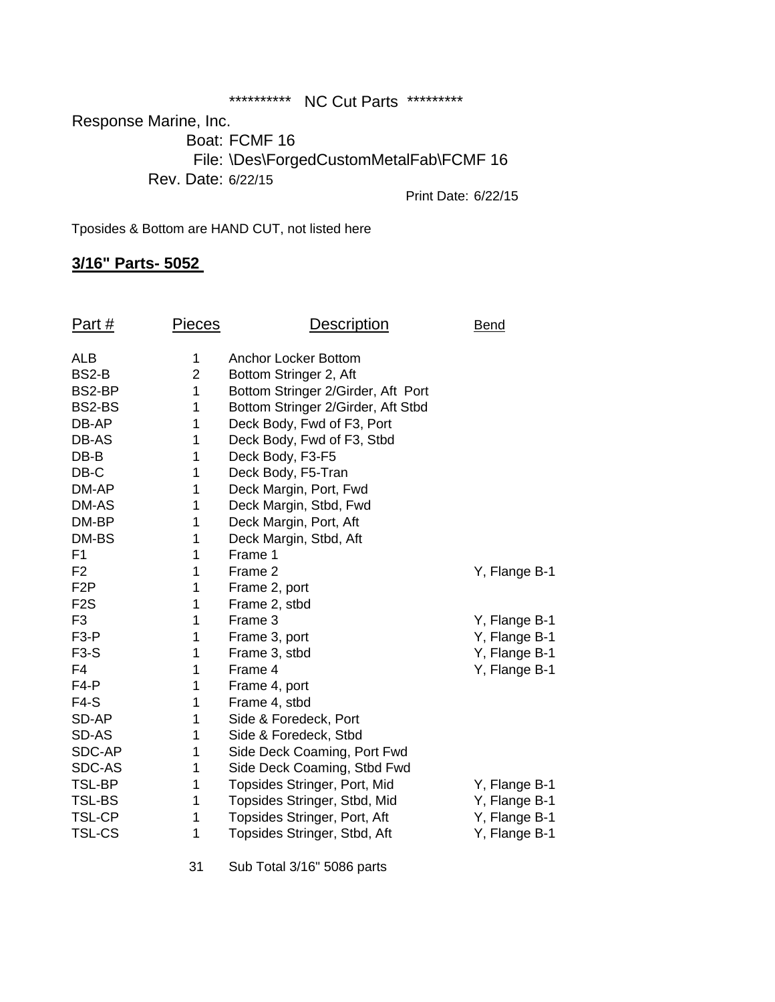\*\*\*\*\*\*\*\*\*\*\*\*\*\*\*\* NC Cut Parts \*\*\*\*\*\*\*\*\*\*

Response Marine, Inc. Boat: FCMF 16 File: \Des\ForgedCustomMetalFab\FCMF 16

Rev. Date: 6/22/15

Print Date: 6/22/15

Tposides & Bottom are HAND CUT, not listed here

# **3/16" Parts- 5052**

| Part#            | <b>Pieces</b>  | <b>Description</b>                 | Bend          |
|------------------|----------------|------------------------------------|---------------|
| <b>ALB</b>       | 1              | Anchor Locker Bottom               |               |
| BS2-B            | $\overline{2}$ | Bottom Stringer 2, Aft             |               |
| BS2-BP           | 1              | Bottom Stringer 2/Girder, Aft Port |               |
| BS2-BS           | 1              | Bottom Stringer 2/Girder, Aft Stbd |               |
| DB-AP            | 1              | Deck Body, Fwd of F3, Port         |               |
| DB-AS            | 1              | Deck Body, Fwd of F3, Stbd         |               |
| $DB-B$           | 1              | Deck Body, F3-F5                   |               |
| DB-C             | 1              | Deck Body, F5-Tran                 |               |
| DM-AP            | 1              | Deck Margin, Port, Fwd             |               |
| DM-AS            | 1              | Deck Margin, Stbd, Fwd             |               |
| DM-BP            | 1              | Deck Margin, Port, Aft             |               |
| DM-BS            | 1              | Deck Margin, Stbd, Aft             |               |
| F <sub>1</sub>   | 1              | Frame 1                            |               |
| F <sub>2</sub>   | 1              | Frame 2                            | Y, Flange B-1 |
| F <sub>2</sub> P | 1              | Frame 2, port                      |               |
| F <sub>2</sub> S | 1              | Frame 2, stbd                      |               |
| F <sub>3</sub>   | 1              | Frame 3                            | Y, Flange B-1 |
| $F3-P$           | 1              | Frame 3, port                      | Y, Flange B-1 |
| $F3-S$           | 1              | Frame 3, stbd                      | Y, Flange B-1 |
| F <sub>4</sub>   | 1              | Frame 4                            | Y, Flange B-1 |
| $F4-P$           | 1              | Frame 4, port                      |               |
| $F4-S$           | 1              | Frame 4, stbd                      |               |
| SD-AP            | 1              | Side & Foredeck, Port              |               |
| SD-AS            | 1              | Side & Foredeck, Stbd              |               |
| SDC-AP           | 1              | Side Deck Coaming, Port Fwd        |               |
| SDC-AS           | 1              | Side Deck Coaming, Stbd Fwd        |               |
| TSL-BP           | 1              | Topsides Stringer, Port, Mid       | Y, Flange B-1 |
| <b>TSL-BS</b>    | 1              | Topsides Stringer, Stbd, Mid       | Y, Flange B-1 |
| <b>TSL-CP</b>    | 1              | Topsides Stringer, Port, Aft       | Y, Flange B-1 |
| <b>TSL-CS</b>    | 1              | Topsides Stringer, Stbd, Aft       | Y, Flange B-1 |

31 Sub Total 3/16" 5086 parts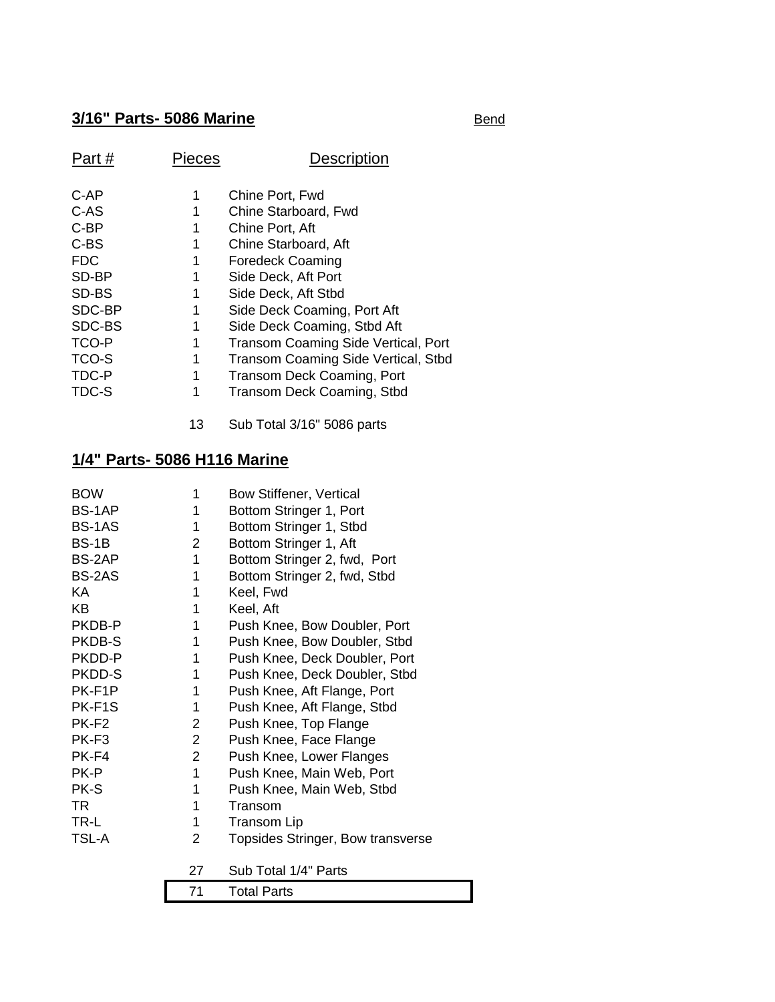# **3/16" Parts- 5086 Marine** Bend

| Part#      | Pieces | Description                                |
|------------|--------|--------------------------------------------|
| C-AP       | 1      | Chine Port, Fwd                            |
| C-AS       | 1      | Chine Starboard, Fwd                       |
| $C-BP$     | 1      | Chine Port, Aft                            |
| C-BS       | 1      | Chine Starboard, Aft                       |
| <b>FDC</b> | 1      | <b>Foredeck Coaming</b>                    |
| SD-BP      | 1      | Side Deck, Aft Port                        |
| SD-BS      | 1      | Side Deck, Aft Stbd                        |
| SDC-BP     | 1      | Side Deck Coaming, Port Aft                |
| SDC-BS     | 1      | Side Deck Coaming, Stbd Aft                |
| TCO-P      | 1      | Transom Coaming Side Vertical, Port        |
| TCO-S      | 1      | <b>Transom Coaming Side Vertical, Stbd</b> |
| TDC-P      | 1      | Transom Deck Coaming, Port                 |
| TDC-S      |        | Transom Deck Coaming, Stbd                 |

13 Sub Total 3/16" 5086 parts

## **1/4" Parts- 5086 H116 Marine**

| <b>BOW</b>        | 1              | Bow Stiffener, Vertical           |
|-------------------|----------------|-----------------------------------|
| BS-1AP            | 1              | Bottom Stringer 1, Port           |
| BS-1AS            | 1              | Bottom Stringer 1, Stbd           |
| BS-1B             | 2              | Bottom Stringer 1, Aft            |
| BS-2AP            | 1              | Bottom Stringer 2, fwd, Port      |
| BS-2AS            | 1              | Bottom Stringer 2, fwd, Stbd      |
| <b>KA</b>         | 1              | Keel, Fwd                         |
| KΒ                | 1              | Keel, Aft                         |
| PKDB-P            | 1              | Push Knee, Bow Doubler, Port      |
| PKDB-S            | 1              | Push Knee, Bow Doubler, Stbd      |
| PKDD-P            | 1              | Push Knee, Deck Doubler, Port     |
| PKDD-S            | 1              | Push Knee, Deck Doubler, Stbd     |
| PK-F1P            | 1              | Push Knee, Aft Flange, Port       |
| PK-F1S            | 1              | Push Knee, Aft Flange, Stbd       |
| PK-F <sub>2</sub> | 2              | Push Knee, Top Flange             |
| PK-F <sub>3</sub> | 2              | Push Knee, Face Flange            |
| PK-F4             | $\overline{2}$ | Push Knee, Lower Flanges          |
| PK-P              | 1              | Push Knee, Main Web, Port         |
| PK-S              | 1              | Push Knee, Main Web, Stbd         |
| TR.               | 1              | Transom                           |
| TR-L              | 1              | <b>Transom Lip</b>                |
| <b>TSL-A</b>      | 2              | Topsides Stringer, Bow transverse |
|                   | 27             | Sub Total 1/4" Parts              |
|                   | 71             | <b>Total Parts</b>                |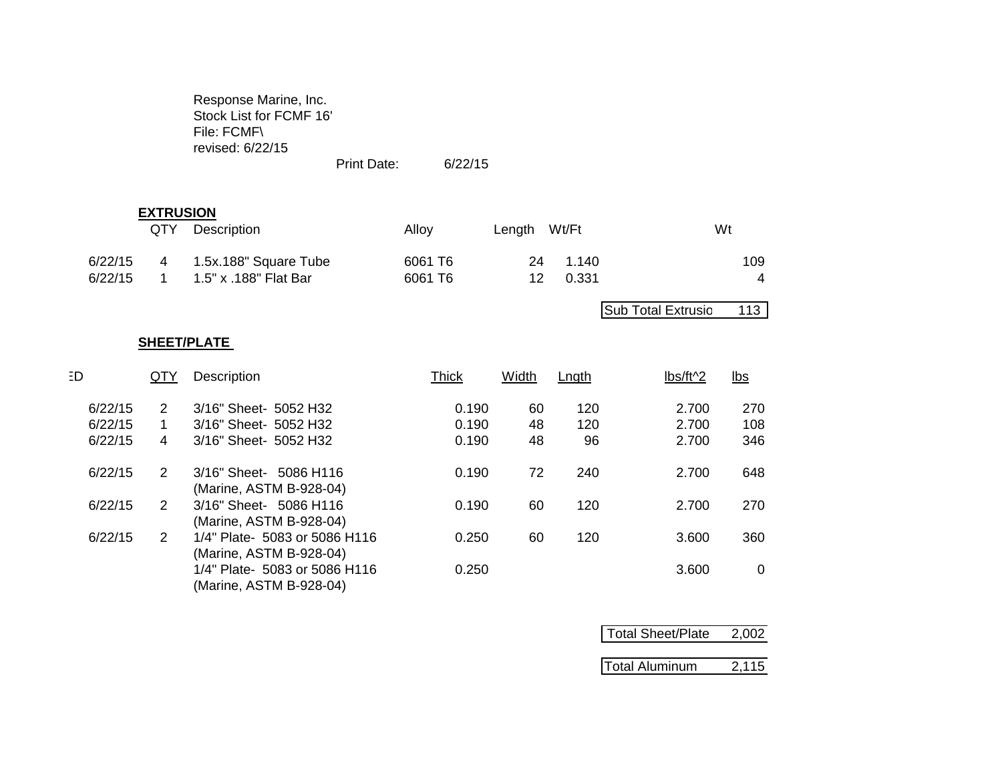Response Marine, Inc. Stock List for FCMF 16' File: FCMF\ revised: 6/22/15

Print Date: 6/22/15

### **EXTRUSION**

|                    | QTY | Description                                    | Alloy              | Length Wt/Ft            | Wt       |
|--------------------|-----|------------------------------------------------|--------------------|-------------------------|----------|
| 6/22/15<br>6/22/15 | -4  | 1.5x.188" Square Tube<br>1.5" x .188" Flat Bar | 6061 T6<br>6061 T6 | 24 1.140<br>0.331<br>12 | 109<br>4 |

Sub Total Extrusio 113

### **SHEET/PLATE**

| ED      | QTY | Description                                              | <b>Thick</b> | Width | Lngth | lbs/ft^2 | $lbs$       |
|---------|-----|----------------------------------------------------------|--------------|-------|-------|----------|-------------|
| 6/22/15 | 2   | 3/16" Sheet- 5052 H32                                    | 0.190        | 60    | 120   | 2.700    | 270         |
| 6/22/15 | 1.  | 3/16" Sheet- 5052 H32                                    | 0.190        | 48    | 120   | 2.700    | 108         |
| 6/22/15 | 4   | 3/16" Sheet- 5052 H32                                    | 0.190        | 48    | 96    | 2.700    | 346         |
| 6/22/15 | 2   | 3/16" Sheet- 5086 H116<br>(Marine, ASTM B-928-04)        | 0.190        | 72    | 240   | 2.700    | 648         |
| 6/22/15 | 2   | 3/16" Sheet- 5086 H116<br>(Marine, ASTM B-928-04)        | 0.190        | 60    | 120   | 2.700    | 270         |
| 6/22/15 | 2   | 1/4" Plate- 5083 or 5086 H116<br>(Marine, ASTM B-928-04) | 0.250        | 60    | 120   | 3.600    | 360         |
|         |     | 1/4" Plate- 5083 or 5086 H116<br>(Marine, ASTM B-928-04) | 0.250        |       |       | 3.600    | $\mathbf 0$ |

| Total Sheet/Plate     | 2,002 |
|-----------------------|-------|
|                       |       |
| <b>Total Aluminum</b> | 2,115 |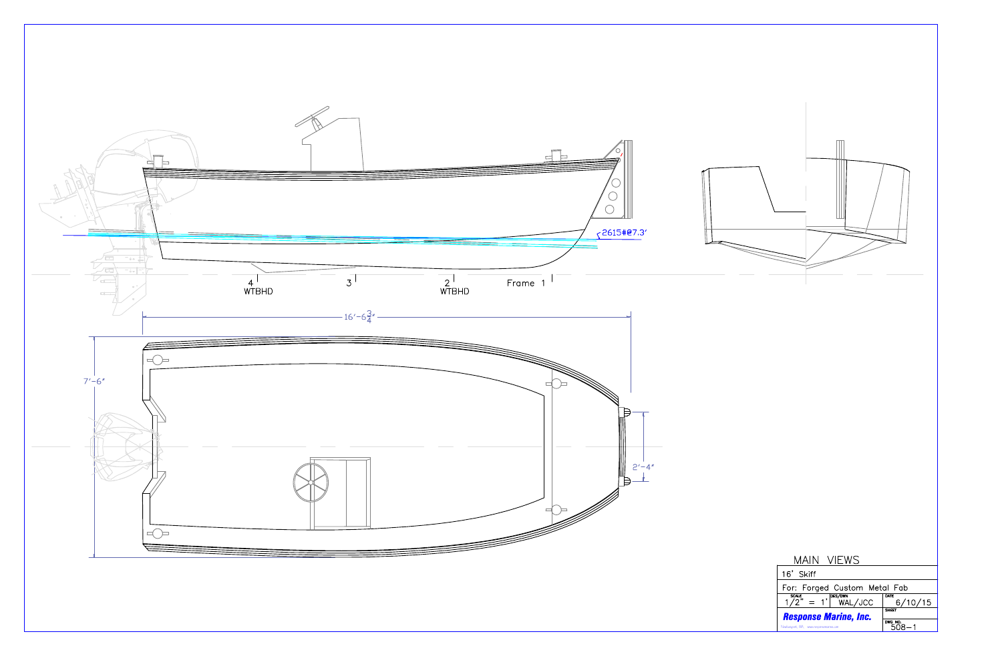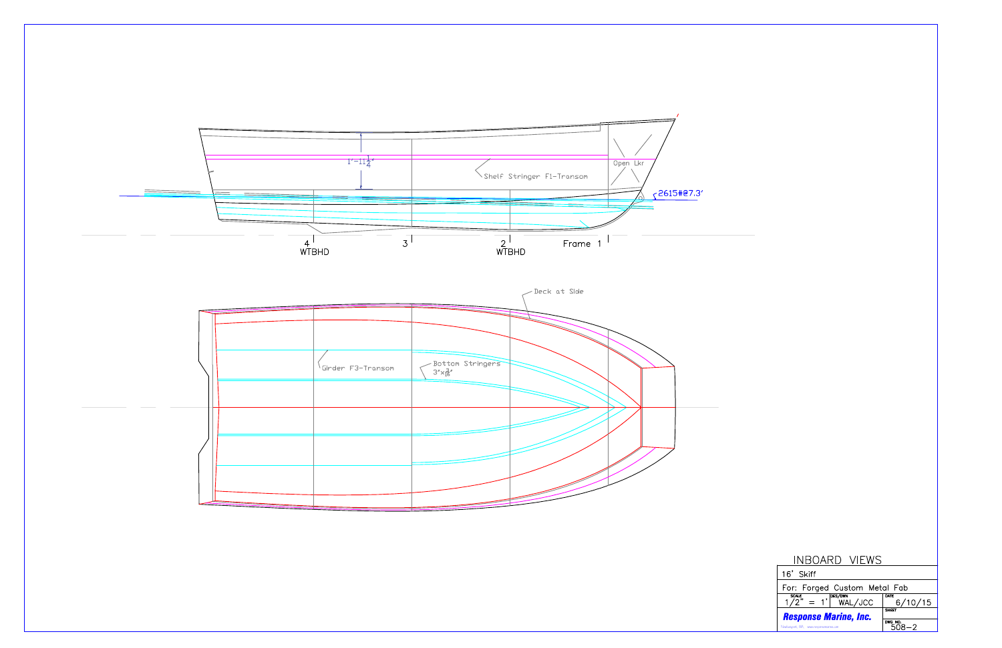

| INBOARD VIEWS                                                         |                 |  |  |  |
|-----------------------------------------------------------------------|-----------------|--|--|--|
| 16' Skiff                                                             |                 |  |  |  |
| For: Forged Custom Metal Fab                                          |                 |  |  |  |
| <b>SCALE</b><br>$= 1$ , $\sqrt{\frac{DES/DWN}{WAL/UCC}}$<br>$1/2^{n}$ | DATE<br>6/10/15 |  |  |  |
| <b>SHEET</b><br><b>Response Marine, Inc.</b>                          |                 |  |  |  |
| Newburyport, MA, www.responsemarine.com                               | DWG NO.<br>8–2  |  |  |  |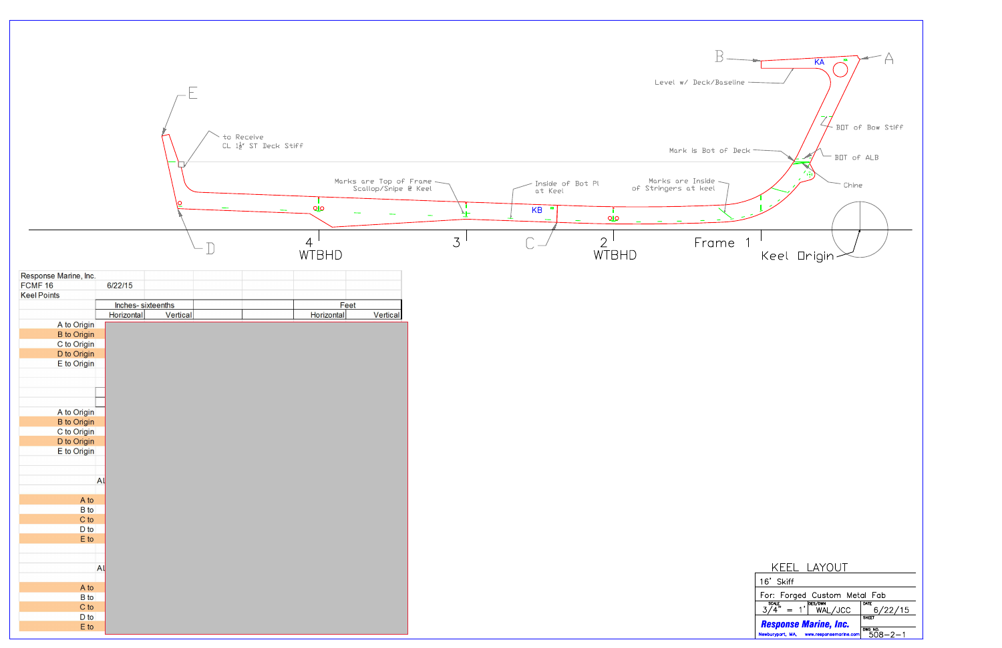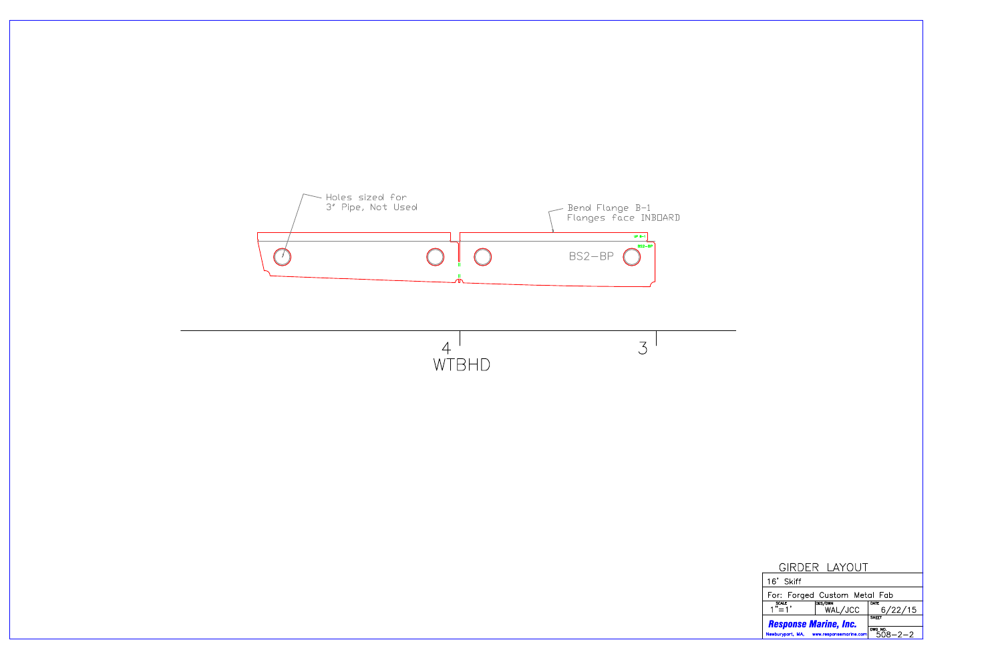

|                                         | GIRDER LAYOUT                |                 |
|-----------------------------------------|------------------------------|-----------------|
| 16' Skiff                               |                              |                 |
|                                         | For: Forged Custom Metal Fab |                 |
| <b>SCALE</b><br>$1^{n}$ = 1'            | <b>DES/DWN</b><br>WAL/JCC    | DATE<br>6/22/15 |
| <b>Response Marine, Inc.</b>            | <b>SHEET</b>                 |                 |
| Newburyport, MA, www.responsemarine.com | DWG NO.<br>$R-2-2$           |                 |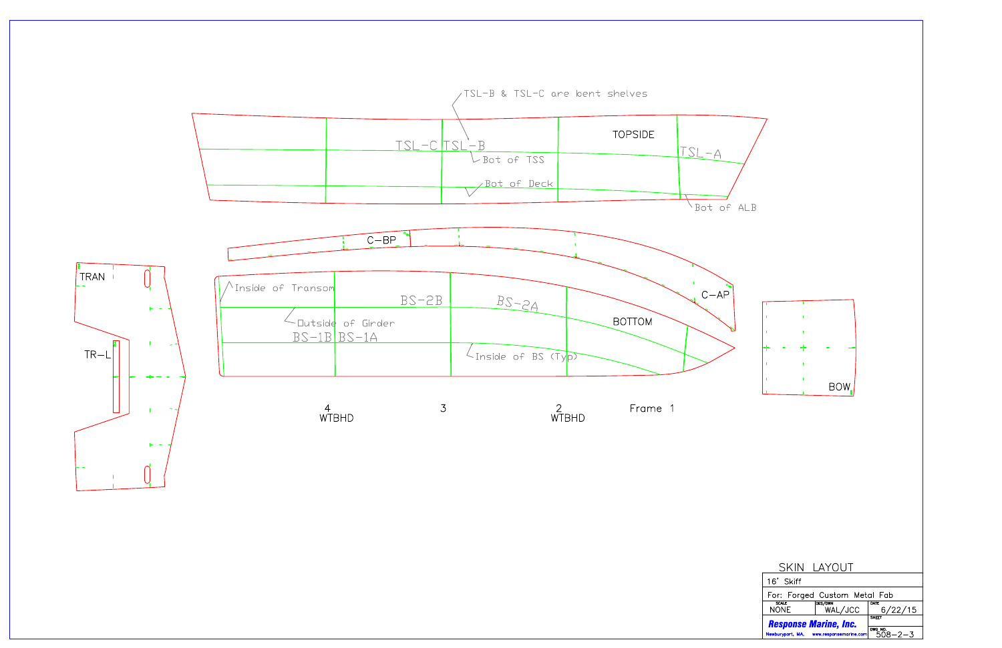

|                              | SKIN LAYOUT                             |                 |  |
|------------------------------|-----------------------------------------|-----------------|--|
| 16' Skiff                    |                                         |                 |  |
|                              | For: Forged Custom Metal Fab            |                 |  |
| <b>SCALE</b><br><b>NONE</b>  | <b>DES/DWN</b><br>WAL/JCC               | DATE<br>6/22/15 |  |
| <b>Response Marine, Inc.</b> |                                         | <b>SHEET</b>    |  |
|                              | Newburyport, MA, www.responsemarine.com | DWG NO.<br>5    |  |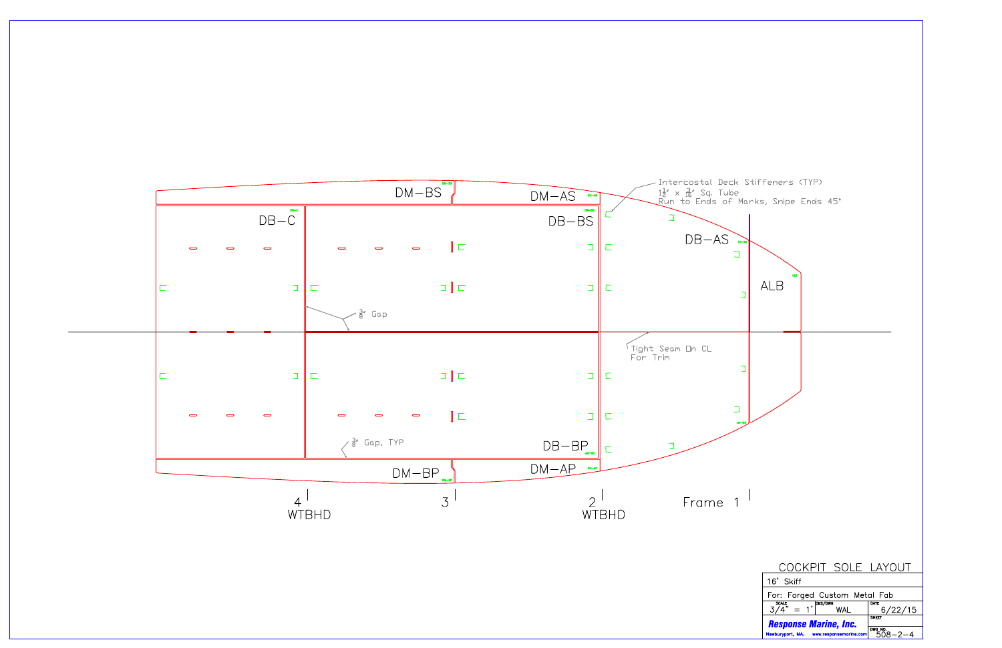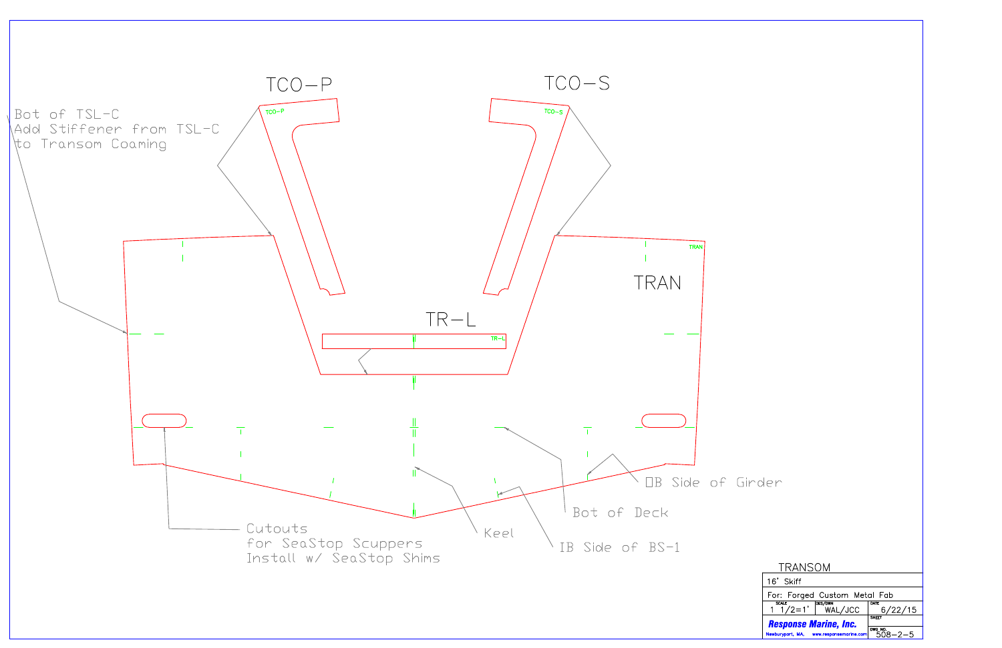

| Girder |  |
|--------|--|
|--------|--|

| TRANSOM                                                            |                          |                 |  |  |  |
|--------------------------------------------------------------------|--------------------------|-----------------|--|--|--|
| 16' Skiff                                                          |                          |                 |  |  |  |
| For: Forged Custom Metal Fab                                       |                          |                 |  |  |  |
| $\overline{1}$ $\overline{1}/2=1$ , DES/DWN<br>1 $1/2=1$ , WAL/JCC |                          | DATE<br>6/22/15 |  |  |  |
| <b>SHEET</b><br><b>Response Marine, Inc.</b>                       |                          |                 |  |  |  |
| Newburyport, MA, www.responsemarine.com                            | DWG NO.<br>$508 - 2 - 5$ |                 |  |  |  |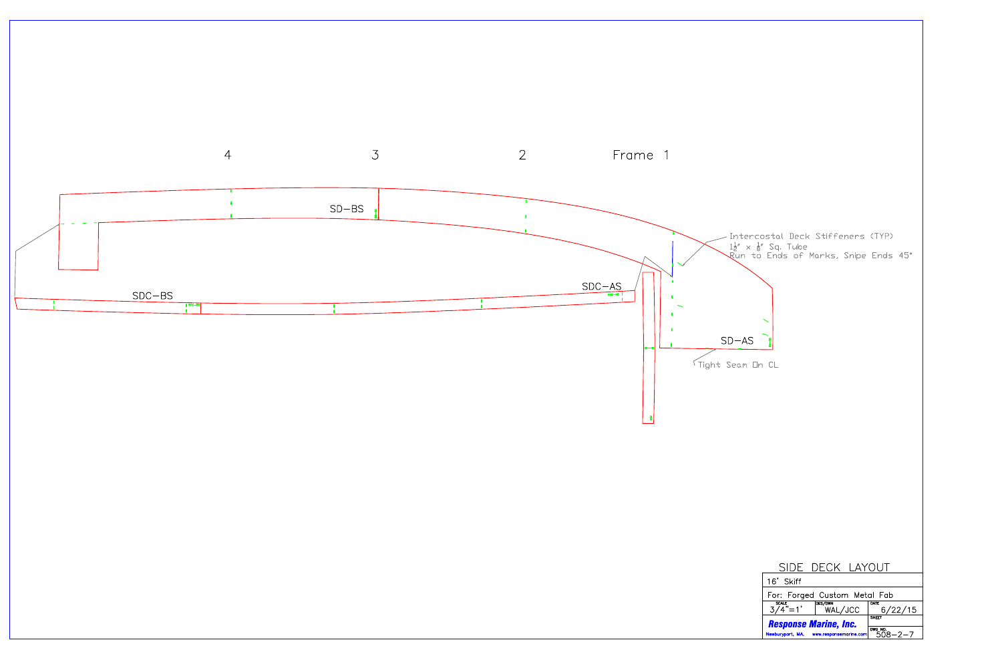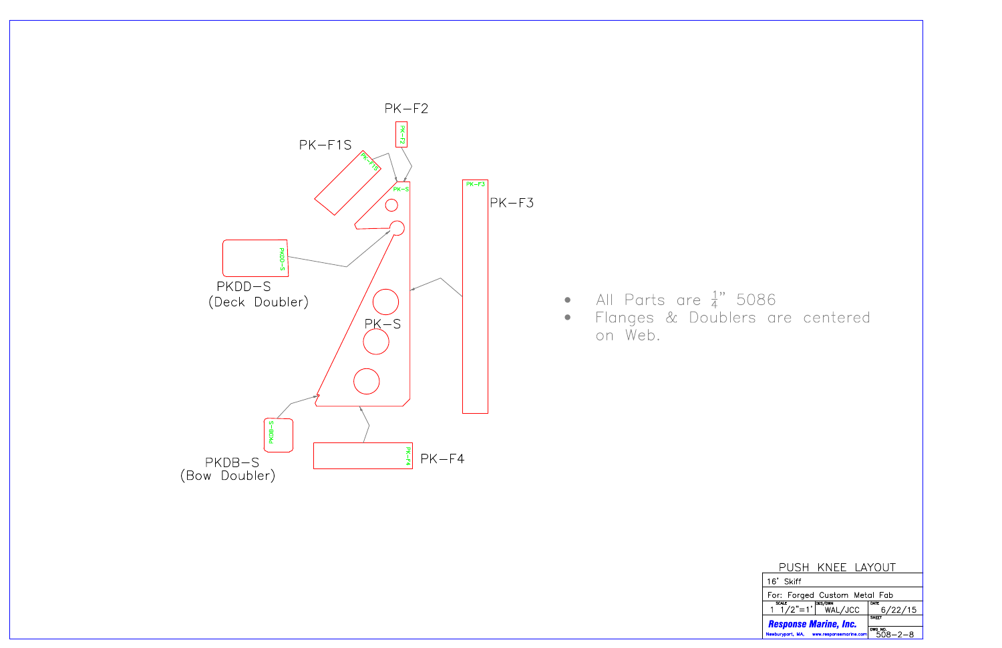

|                   | USH KNFF LAYOUT |
|-------------------|-----------------|
| $\vert$ 16' Skiff |                 |

| . .<br>.                                |                                                 |                                     |  |  |
|-----------------------------------------|-------------------------------------------------|-------------------------------------|--|--|
| For: Forged Custom Metal Fab            |                                                 |                                     |  |  |
|                                         | $\frac{\text{scale}}{1 \cdot 1/2}$ = 1' WAL/JCC | DATE<br>16/22/15                    |  |  |
| <b>Response Marine, Inc.</b>            | SHEET                                           |                                     |  |  |
| Newburyport, MA, www.responsemarine.com |                                                 | $\sqrt{\frac{DWG N0}{508 - 2 - 8}}$ |  |  |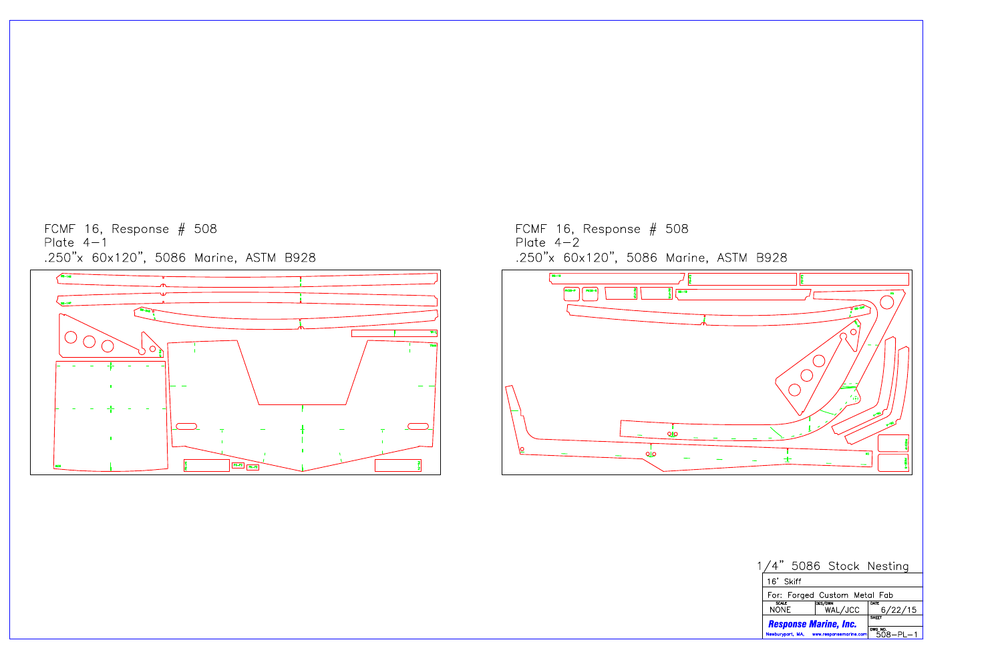FCMF 16, Response  $#$  508<br>Plate 4-1 .250"x 60x120", 5086 Marine, ASTM B928



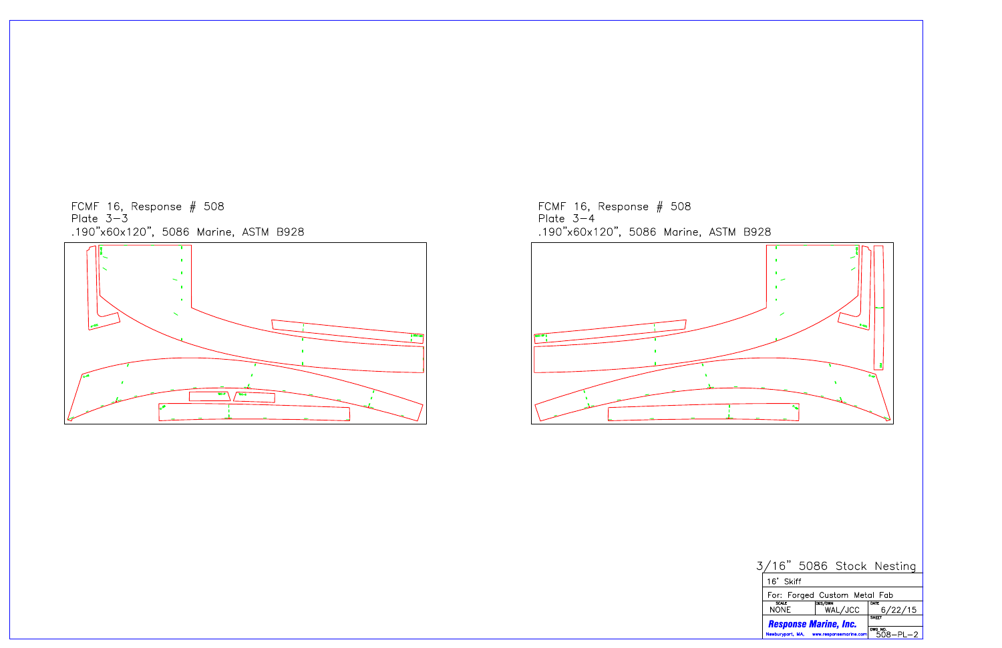





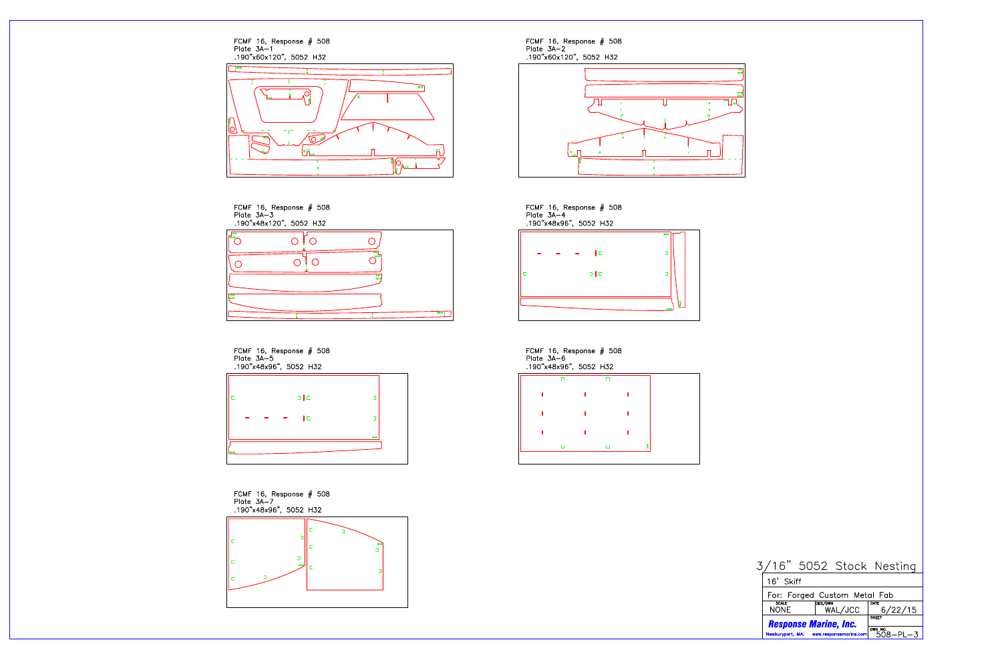FCMF 16, Response # 508<br>Plate 3A-1<br>.190"x60x120", 5052 H32

















| Plate $3A-4$ | FCMF 16, Response $#$ 508<br>.190"x48x96", 5052 H32 |  |
|--------------|-----------------------------------------------------|--|
|              | l⊏                                                  |  |
|              | эĵс                                                 |  |
|              |                                                     |  |

FCMF 16, Response # 508<br>Plate 3A-6 .190"x48x96", 5052 H32



| ı |  |  |
|---|--|--|
|   |  |  |
|   |  |  |

|  |  | 3/16" 5052 Stock Nesting |
|--|--|--------------------------|
|  |  |                          |

|                              | 16' Skiff                               |                           |                           |
|------------------------------|-----------------------------------------|---------------------------|---------------------------|
| For: Forged Custom Metal Fab |                                         |                           |                           |
|                              | <b>SCALE</b><br>NONF.                   | <b>DES/DWN</b><br>WAL/JCC | DATE<br>6/22/15           |
|                              | <b>Response Marine, Inc.</b>            | <b>SHEET</b>              |                           |
|                              | Newburyport, MA, www.responsemarine.com |                           | DWG NO.<br>$508 - P1 - 3$ |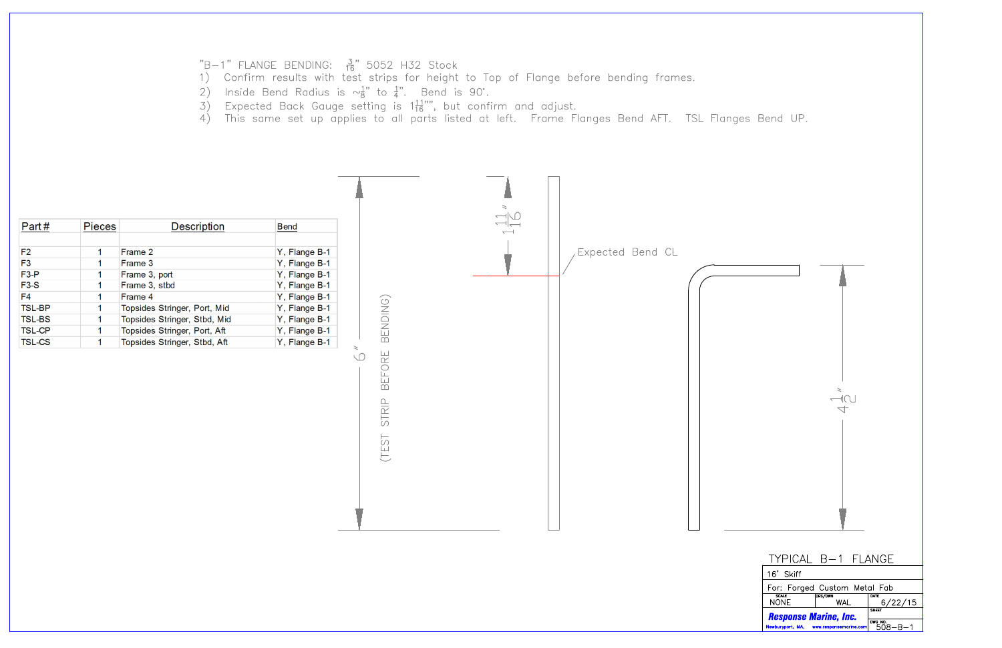- "B-1" FLANGE BENDING:  $\frac{3}{16}$ " 5052 H32 Stock<br>1) Confirm results with test strips for height to Top of Flange before bending frames.
- 2) Inside Bend Radius is  $\sim_B^{1}$ " to  $\frac{1}{4}$ ". Bend is 90°.
- 
- $\frac{3}{4}$ ) Expected Back Gauge setting is 1 $\frac{11}{16}$ "", but confirm and adjust.<br>4) This same set up applies to all parts listed at left. Frame Flanges Bend AFT. TSL Flanges Bend UP.

| Expected Bend CL<br>F <sub>2</sub><br>Y, Flange B-1<br>Frame 2<br>$\mathbf 1$<br>F3<br>Frame 3<br>Y, Flange B-1<br>$\overline{1}$<br>$F3-P$<br>Frame 3, port<br>Y, Flange B-1<br>$\overline{1}$<br>$F3-S$<br>Frame 3, stbd<br>Y, Flange B-1<br>F <sub>4</sub><br>Frame 4<br>Y, Flange B-1<br>$\mathbf 1$<br>BENDING)<br><b>TSL-BP</b><br>Topsides Stringer, Port, Mid<br>Y, Flange B-1<br>$\overline{\mathbf{1}}$<br><b>TSL-BS</b><br>Topsides Stringer, Stbd, Mid<br>Y, Flange B-1<br>$\overline{\mathbf{1}}$<br><b>TSL-CP</b><br>Topsides Stringer, Port, Aft<br>Y, Flange B-1<br>Topsides Stringer, Stbd, Aft<br><b>TSL-CS</b><br>Y, Flange B-1<br>$\geq$<br>BEFORE<br>$\setminus \bigcap$ |
|-----------------------------------------------------------------------------------------------------------------------------------------------------------------------------------------------------------------------------------------------------------------------------------------------------------------------------------------------------------------------------------------------------------------------------------------------------------------------------------------------------------------------------------------------------------------------------------------------------------------------------------------------------------------------------------------------|
|                                                                                                                                                                                                                                                                                                                                                                                                                                                                                                                                                                                                                                                                                               |

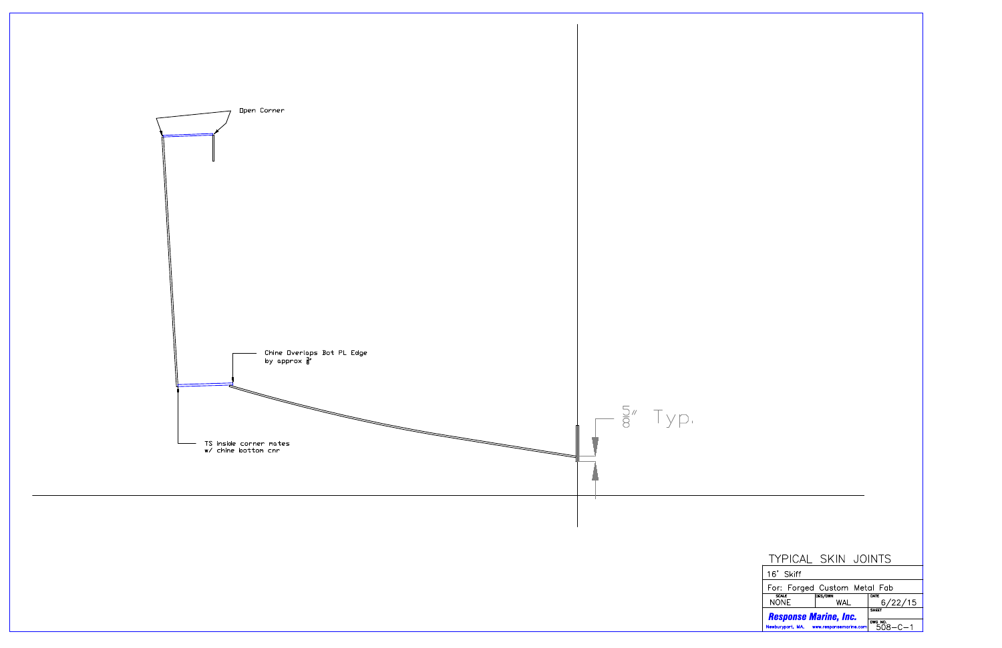

| <b>TYPICAL SKIN JOINTS</b>                                              |                                          |  |                 |  |
|-------------------------------------------------------------------------|------------------------------------------|--|-----------------|--|
| 16' Skiff                                                               |                                          |  |                 |  |
| For: Forged Custom Metal Fab                                            |                                          |  |                 |  |
| <b>SCALE</b><br><b>NONE</b>                                             | <b>DES/DWN</b><br>WAI                    |  | DATE<br>6/22/15 |  |
| <b>Response Marine, Inc.</b><br>Newburyport, MA, www.responsemarine.com | <b>SHEET</b><br>DWG NO.<br>$508 - C - 1$ |  |                 |  |